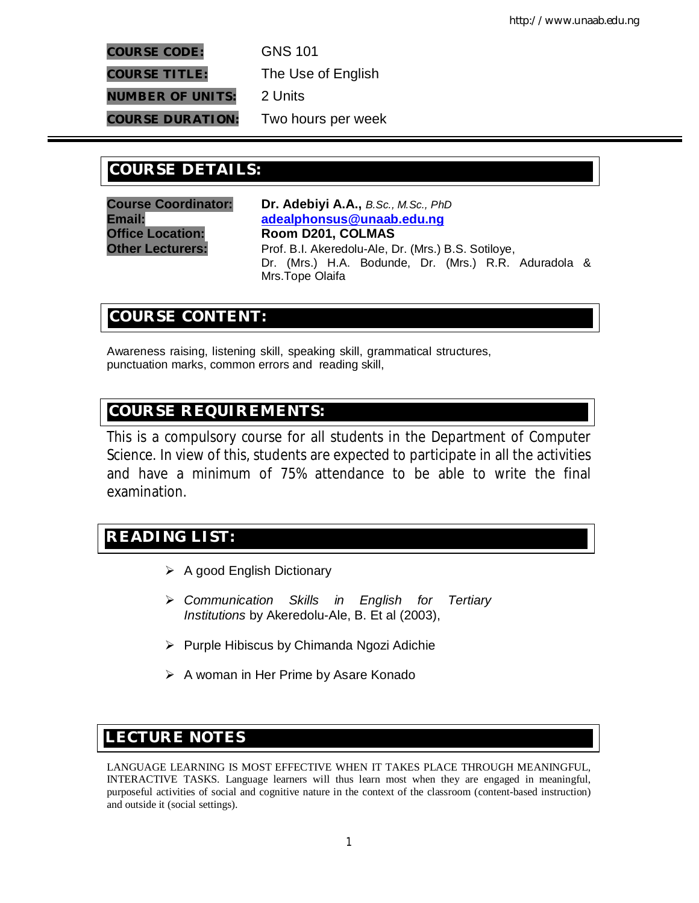**COURSE CODE:** GNS 101 **COURSE TITLE:** The Use of English

**NUMBER OF UNITS:** 2 Units

**COURSE DURATION:** Two hours per week

# **COURSE DETAILS: COURSE DETAILS:**

**Course Coordinator: Dr. Adebiyi A.A.,** *B.Sc., M.Sc., PhD* **Email: adealphonsus@unaab.edu.ng Office Location: Room D201, COLMAS Other Lecturers:** Prof. B.I. Akeredolu-Ale, Dr. (Mrs.) B.S. Sotiloye, Dr. (Mrs.) H.A. Bodunde, Dr. (Mrs.) R.R. Aduradola & Mrs.Tope Olaifa

# **COURSE CONTENT:**

Awareness raising, listening skill, speaking skill, grammatical structures, punctuation marks, common errors and reading skill,

# **COURSE REQUIREMENTS:**

This is a compulsory course for all students in the Department of Computer Science. In view of this, students are expected to participate in all the activities and have a minimum of 75% attendance to be able to write the final examination.

# **READING LIST:**

- $\triangleright$  A good English Dictionary
- *Communication Skills in English for Tertiary Institutions* by Akeredolu-Ale, B. Et al (2003),
- $\triangleright$  Purple Hibiscus by Chimanda Ngozi Adichie
- $\triangleright$  A woman in Her Prime by Asare Konado

# **E LECTURE NOTES**

LANGUAGE LEARNING IS MOST EFFECTIVE WHEN IT TAKES PLACE THROUGH MEANINGFUL, INTERACTIVE TASKS. Language learners will thus learn most when they are engaged in meaningful, purposeful activities of social and cognitive nature in the context of the classroom (content-based instruction) and outside it (social settings).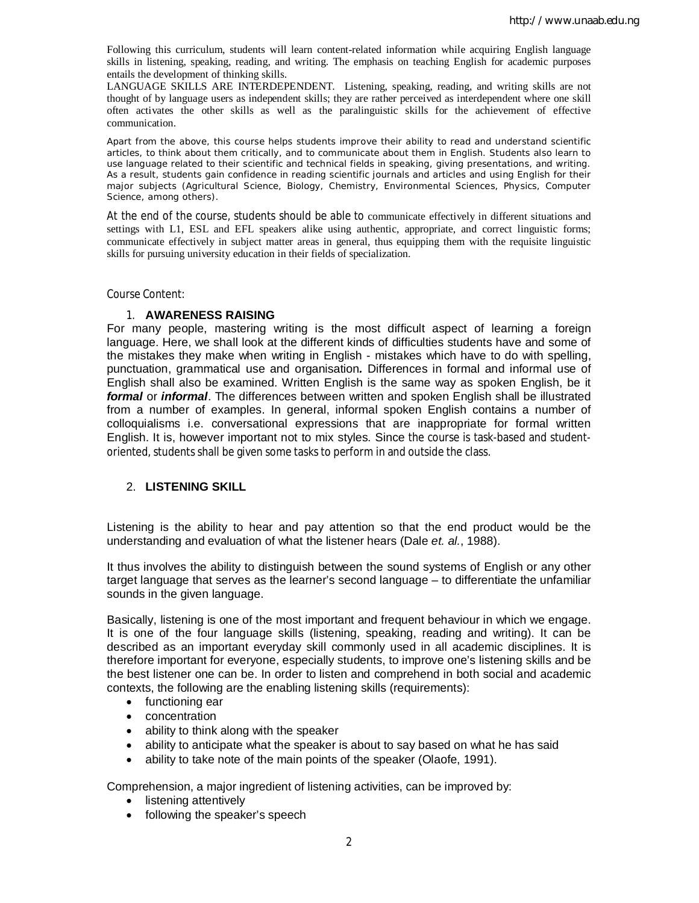Following this curriculum, students will learn content-related information while acquiring English language skills in listening, speaking, reading, and writing. The emphasis on teaching English for academic purposes entails the development of thinking skills.

LANGUAGE SKILLS ARE INTERDEPENDENT. Listening, speaking, reading, and writing skills are not thought of by language users as independent skills; they are rather perceived as interdependent where one skill often activates the other skills as well as the paralinguistic skills for the achievement of effective communication.

Apart from the above, this course helps students improve their ability to read and understand scientific articles, to think about them critically, and to communicate about them in English. Students also learn to use language related to their scientific and technical fields in speaking, giving presentations, and writing. As a result, students gain confidence in reading scientific journals and articles and using English for their major subjects (Agricultural Science, Biology, Chemistry, Environmental Sciences, Physics, Computer Science, among others).

At the end of the course, students should be able to communicate effectively in different situations and settings with L1, ESL and EFL speakers alike using authentic, appropriate, and correct linguistic forms; communicate effectively in subject matter areas in general, thus equipping them with the requisite linguistic skills for pursuing university education in their fields of specialization.

Course Content:

#### 1. **AWARENESS RAISING**

For many people, mastering writing is the most difficult aspect of learning a foreign language. Here, we shall look at the different kinds of difficulties students have and some of the mistakes they make when writing in English - mistakes which have to do with spelling, punctuation, grammatical use and organisation*.* Differences in formal and informal use of English shall also be examined. Written English is the same way as spoken English, be it *formal* or *informal*. The differences between written and spoken English shall be illustrated from a number of examples. In general, informal spoken English contains a number of colloquialisms i.e. conversational expressions that are inappropriate for formal written English. It is, however important not to mix styles. Since the course is task-based and studentoriented, students shall be given some tasks to perform in and outside the class.

### 2. **LISTENING SKILL**

Listening is the ability to hear and pay attention so that the end product would be the understanding and evaluation of what the listener hears (Dale *et. al.*, 1988).

It thus involves the ability to distinguish between the sound systems of English or any other target language that serves as the learner's second language – to differentiate the unfamiliar sounds in the given language.

Basically, listening is one of the most important and frequent behaviour in which we engage. It is one of the four language skills (listening, speaking, reading and writing). It can be described as an important everyday skill commonly used in all academic disciplines. It is therefore important for everyone, especially students, to improve one's listening skills and be the best listener one can be. In order to listen and comprehend in both social and academic contexts, the following are the enabling listening skills (requirements):

- functioning ear
- concentration
- ability to think along with the speaker
- ability to anticipate what the speaker is about to say based on what he has said
- ability to take note of the main points of the speaker (Olaofe, 1991).

Comprehension, a major ingredient of listening activities, can be improved by:

- listening attentively
- following the speaker's speech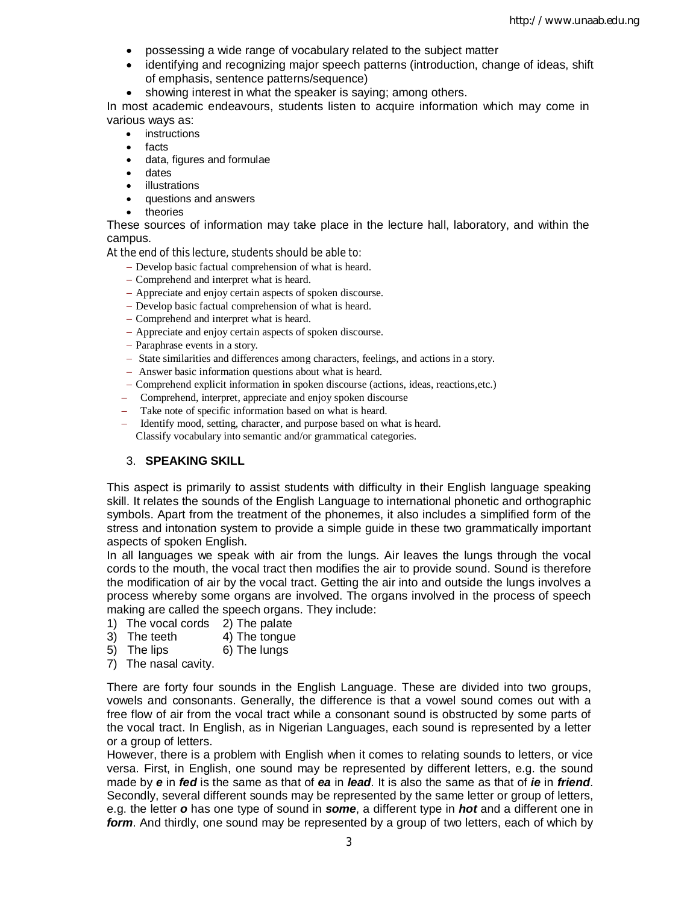- possessing a wide range of vocabulary related to the subject matter
- identifying and recognizing major speech patterns (introduction, change of ideas, shift of emphasis, sentence patterns/sequence)
- showing interest in what the speaker is saying; among others.

In most academic endeavours, students listen to acquire information which may come in various ways as:

- instructions
- facts
- data, figures and formulae
- dates
- illustrations
- questions and answers
- theories

These sources of information may take place in the lecture hall, laboratory, and within the campus.

At the end of this lecture, students should be able to:

- Develop basic factual comprehension of what is heard.
- Comprehend and interpret what is heard.
- Appreciate and enjoy certain aspects of spoken discourse.
- Develop basic factual comprehension of what is heard.
- Comprehend and interpret what is heard.
- Appreciate and enjoy certain aspects of spoken discourse.
- Paraphrase events in a story.
- State similarities and differences among characters, feelings, and actions in a story.
- Answer basic information questions about what is heard.
- Comprehend explicit information in spoken discourse (actions, ideas, reactions,etc.)
- Comprehend, interpret, appreciate and enjoy spoken discourse
- Take note of specific information based on what is heard.
- Identify mood, setting, character, and purpose based on what is heard. Classify vocabulary into semantic and/or grammatical categories.

## 3. **SPEAKING SKILL**

This aspect is primarily to assist students with difficulty in their English language speaking skill. It relates the sounds of the English Language to international phonetic and orthographic symbols. Apart from the treatment of the phonemes, it also includes a simplified form of the stress and intonation system to provide a simple guide in these two grammatically important aspects of spoken English.

In all languages we speak with air from the lungs. Air leaves the lungs through the vocal cords to the mouth, the vocal tract then modifies the air to provide sound. Sound is therefore the modification of air by the vocal tract. Getting the air into and outside the lungs involves a process whereby some organs are involved. The organs involved in the process of speech making are called the speech organs. They include:

- 1) The vocal cords 2) The palate
- 3) The teeth 4) The tongue
- $5)$  The lips  $6)$  The lungs
- 7) The nasal cavity.

There are forty four sounds in the English Language. These are divided into two groups, vowels and consonants. Generally, the difference is that a vowel sound comes out with a free flow of air from the vocal tract while a consonant sound is obstructed by some parts of the vocal tract. In English, as in Nigerian Languages, each sound is represented by a letter or a group of letters.

However, there is a problem with English when it comes to relating sounds to letters, or vice versa. First, in English, one sound may be represented by different letters, e.g. the sound made by *e* in *fed* is the same as that of *ea* in *lead*. It is also the same as that of *ie* in *friend*. Secondly, several different sounds may be represented by the same letter or group of letters, e.g. the letter *o* has one type of sound in *some*, a different type in *hot* and a different one in *form*. And thirdly, one sound may be represented by a group of two letters, each of which by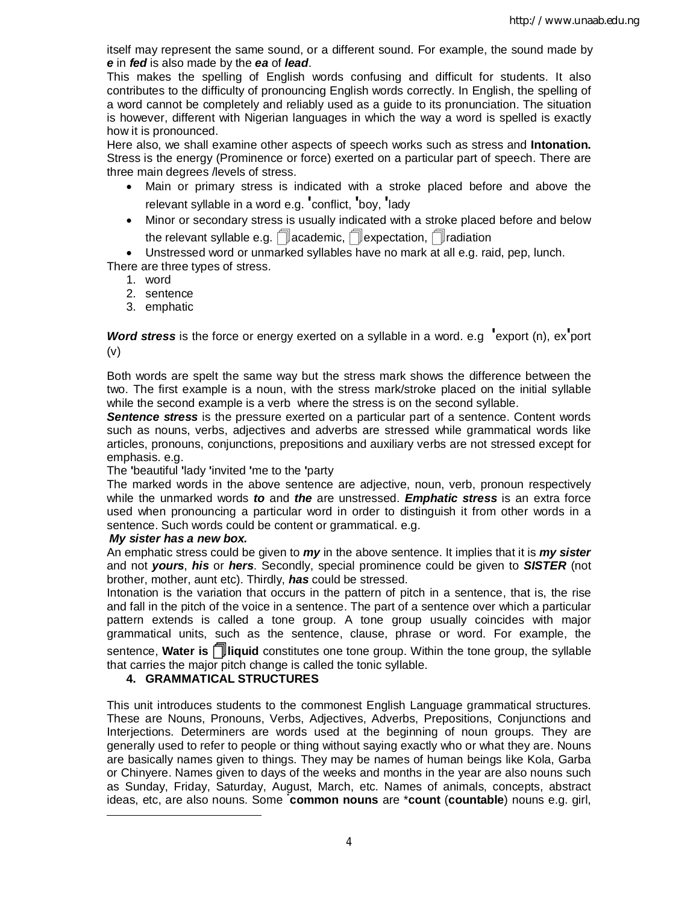itself may represent the same sound, or a different sound. For example, the sound made by *e* in *fed* is also made by the *ea* of *lead*.

This makes the spelling of English words confusing and difficult for students. It also contributes to the difficulty of pronouncing English words correctly. In English, the spelling of a word cannot be completely and reliably used as a guide to its pronunciation. The situation is however, different with Nigerian languages in which the way a word is spelled is exactly how it is pronounced.

Here also, we shall examine other aspects of speech works such as stress and **Intonation.**  Stress is the energy (Prominence or force) exerted on a particular part of speech. There are three main degrees /levels of stress.

- Main or primary stress is indicated with a stroke placed before and above the relevant syllable in a word e.g. **'**conflict, **'**boy, **'**lady
- Minor or secondary stress is usually indicated with a stroke placed before and below the relevant syllable e.g.  $\Box$  academic,  $\Box$  expectation,  $\Box$  radiation

 Unstressed word or unmarked syllables have no mark at all e.g. raid, pep, lunch. There are three types of stress.

- 1. word
- 2. sentence
- 3. emphatic

*Word stress* is the force or energy exerted on a syllable in a word. e.g **'**export (n), ex**'**port (v)

Both words are spelt the same way but the stress mark shows the difference between the two. The first example is a noun, with the stress mark/stroke placed on the initial syllable while the second example is a verb where the stress is on the second syllable.

*Sentence stress* is the pressure exerted on a particular part of a sentence. Content words such as nouns, verbs, adjectives and adverbs are stressed while grammatical words like articles, pronouns, conjunctions, prepositions and auxiliary verbs are not stressed except for emphasis. e.g.

## The **'**beautiful **'**lady **'**invited **'**me to the **'**party

The marked words in the above sentence are adjective, noun, verb, pronoun respectively while the unmarked words *to* and *the* are unstressed. *Emphatic stress* is an extra force used when pronouncing a particular word in order to distinguish it from other words in a sentence. Such words could be content or grammatical. e.g.

## *My sister has a new box.*

 $\overline{a}$ 

An emphatic stress could be given to *my* in the above sentence. It implies that it is *my sister* and not *yours*, *his* or *hers*. Secondly, special prominence could be given to *SISTER* (not brother, mother, aunt etc). Thirdly, *has* could be stressed.

Intonation is the variation that occurs in the pattern of pitch in a sentence, that is, the rise and fall in the pitch of the voice in a sentence. The part of a sentence over which a particular pattern extends is called a tone group. A tone group usually coincides with major grammatical units, such as the sentence, clause, phrase or word. For example, the sentence, **Water is liquid** constitutes one tone group. Within the tone group, the syllable that carries the major pitch change is called the tonic syllable.

## **4. GRAMMATICAL STRUCTURES**

This unit introduces students to the commonest English Language grammatical structures. These are Nouns, Pronouns, Verbs, Adjectives, Adverbs, Prepositions, Conjunctions and Interjections. Determiners are words used at the beginning of noun groups. They are generally used to refer to people or thing without saying exactly who or what they are. Nouns are basically names given to things. They may be names of human beings like Kola, Garba or Chinyere. Names given to days of the weeks and months in the year are also nouns such as Sunday, Friday, Saturday, August, March, etc. Names of animals, concepts, abstract ideas, etc, are also nouns. Some \* **common nouns** are \***count** (**countable**) nouns e.g. girl,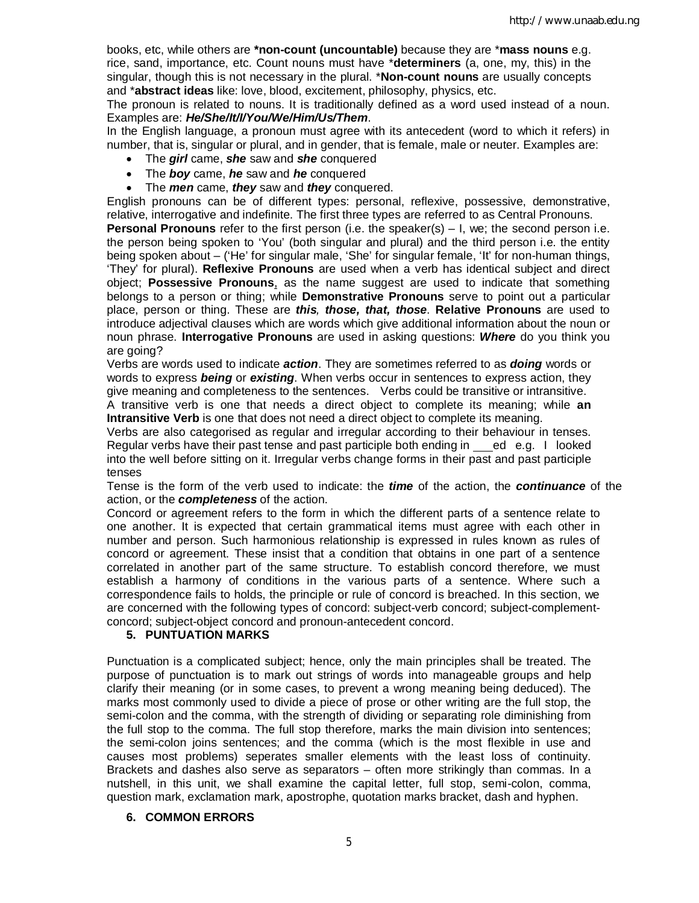books, etc, while others are **\*non-count (uncountable)** because they are \***mass nouns** e.g. rice, sand, importance, etc. Count nouns must have \***determiners** (a, one, my, this) in the singular, though this is not necessary in the plural. \***Non-count nouns** are usually concepts and \***abstract ideas** like: love, blood, excitement, philosophy, physics, etc.

The pronoun is related to nouns. It is traditionally defined as a word used instead of a noun. Examples are: *He/She/It/I/You/We/Him/Us/Them*.

In the English language, a pronoun must agree with its antecedent (word to which it refers) in number, that is, singular or plural, and in gender, that is female, male or neuter. Examples are:

- The *girl* came, *she* saw and *she* conquered
- The *boy* came, *he* saw and *he* conquered
- The *men* came, *they* saw and *they* conquered.

English pronouns can be of different types: personal, reflexive, possessive, demonstrative, relative, interrogative and indefinite. The first three types are referred to as Central Pronouns.

**Personal Pronouns** refer to the first person (i.e. the speaker(s) – I, we; the second person i.e. the person being spoken to 'You' (both singular and plural) and the third person i.e. the entity being spoken about – ('He' for singular male, 'She' for singular female, 'It' for non-human things, 'They' for plural). **Reflexive Pronouns** are used when a verb has identical subject and direct object; **Possessive Pronouns**, as the name suggest are used to indicate that something belongs to a person or thing; while **Demonstrative Pronouns** serve to point out a particular place, person or thing. These are *this, those, that, those*. **Relative Pronouns** are used to introduce adjectival clauses which are words which give additional information about the noun or noun phrase. **Interrogative Pronouns** are used in asking questions: *Where* do you think you are going?

Verbs are words used to indicate *action*. They are sometimes referred to as *doing* words or words to express *being* or *existing*. When verbs occur in sentences to express action, they give meaning and completeness to the sentences. Verbs could be transitive or intransitive. A transitive verb is one that needs a direct object to complete its meaning; while **an Intransitive Verb** is one that does not need a direct object to complete its meaning.

Verbs are also categorised as regular and irregular according to their behaviour in tenses. Regular verbs have their past tense and past participle both ending in ed e.g. I looked into the well before sitting on it. Irregular verbs change forms in their past and past participle tenses

Tense is the form of the verb used to indicate: the *time* of the action, the *continuance* of the action, or the *completeness* of the action.

Concord or agreement refers to the form in which the different parts of a sentence relate to one another. It is expected that certain grammatical items must agree with each other in number and person. Such harmonious relationship is expressed in rules known as rules of concord or agreement. These insist that a condition that obtains in one part of a sentence correlated in another part of the same structure. To establish concord therefore, we must establish a harmony of conditions in the various parts of a sentence. Where such a correspondence fails to holds, the principle or rule of concord is breached. In this section, we are concerned with the following types of concord: subject-verb concord; subject-complementconcord; subject-object concord and pronoun-antecedent concord.

#### **5. PUNTUATION MARKS**

Punctuation is a complicated subject; hence, only the main principles shall be treated. The purpose of punctuation is to mark out strings of words into manageable groups and help clarify their meaning (or in some cases, to prevent a wrong meaning being deduced). The marks most commonly used to divide a piece of prose or other writing are the full stop, the semi-colon and the comma, with the strength of dividing or separating role diminishing from the full stop to the comma. The full stop therefore, marks the main division into sentences; the semi-colon joins sentences; and the comma (which is the most flexible in use and causes most problems) seperates smaller elements with the least loss of continuity. Brackets and dashes also serve as separators – often more strikingly than commas. In a nutshell, in this unit, we shall examine the capital letter, full stop, semi-colon, comma, question mark, exclamation mark, apostrophe, quotation marks bracket, dash and hyphen.

#### **6. COMMON ERRORS**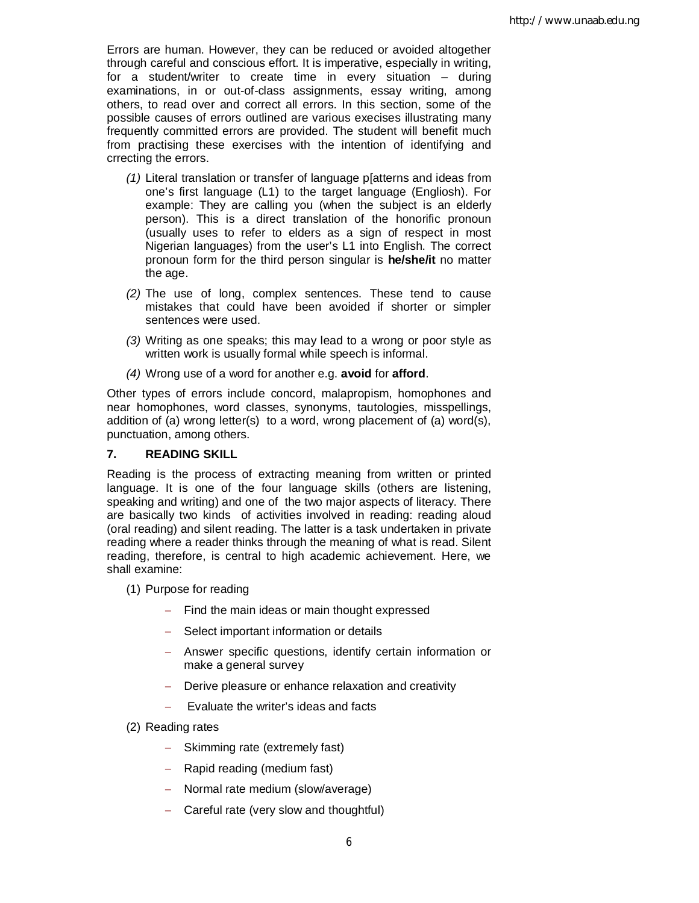Errors are human. However, they can be reduced or avoided altogether through careful and conscious effort. It is imperative, especially in writing, for a student/writer to create time in every situation – during examinations, in or out-of-class assignments, essay writing, among others, to read over and correct all errors. In this section, some of the possible causes of errors outlined are various execises illustrating many frequently committed errors are provided. The student will benefit much from practising these exercises with the intention of identifying and crrecting the errors.

- *(1)* Literal translation or transfer of language p[atterns and ideas from one's first language (L1) to the target language (Engliosh). For example: They are calling you (when the subject is an elderly person). This is a direct translation of the honorific pronoun (usually uses to refer to elders as a sign of respect in most Nigerian languages) from the user's L1 into English. The correct pronoun form for the third person singular is **he/she/it** no matter the age.
- *(2)* The use of long, complex sentences. These tend to cause mistakes that could have been avoided if shorter or simpler sentences were used.
- *(3)* Writing as one speaks; this may lead to a wrong or poor style as written work is usually formal while speech is informal.
- *(4)* Wrong use of a word for another e.g. **avoid** for **afford**.

Other types of errors include concord, malapropism, homophones and near homophones, word classes, synonyms, tautologies, misspellings, addition of (a) wrong letter(s) to a word, wrong placement of (a) word(s), punctuation, among others.

# **7. READING SKILL**

Reading is the process of extracting meaning from written or printed language. It is one of the four language skills (others are listening, speaking and writing) and one of the two major aspects of literacy. There are basically two kinds of activities involved in reading: reading aloud (oral reading) and silent reading. The latter is a task undertaken in private reading where a reader thinks through the meaning of what is read. Silent reading, therefore, is central to high academic achievement. Here, we shall examine:

- (1) Purpose for reading
	- $-$  Find the main ideas or main thought expressed
	- Select important information or details
	- Answer specific questions, identify certain information or make a general survey
	- Derive pleasure or enhance relaxation and creativity
	- $\overline{-}$  Evaluate the writer's ideas and facts
- (2) Reading rates
	- $-$  Skimming rate (extremely fast)
	- $-$  Rapid reading (medium fast)
	- Normal rate medium (slow/average)
	- Careful rate (very slow and thoughtful)